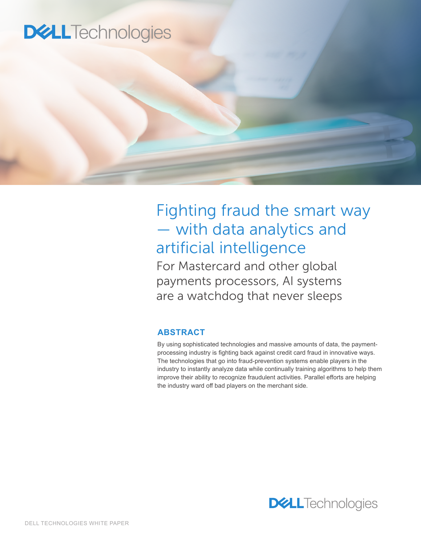# **DELL** Technologies

# Fighting fraud the smart way — with data analytics and artificial intelligence

For Mastercard and other global payments processors, AI systems are a watchdog that never sleeps

#### **ABSTRACT**

By using sophisticated technologies and massive amounts of data, the paymentprocessing industry is fighting back against credit card fraud in innovative ways. The technologies that go into fraud-prevention systems enable players in the industry to instantly analyze data while continually training algorithms to help them improve their ability to recognize fraudulent activities. Parallel efforts are helping the industry ward off bad players on the merchant side.

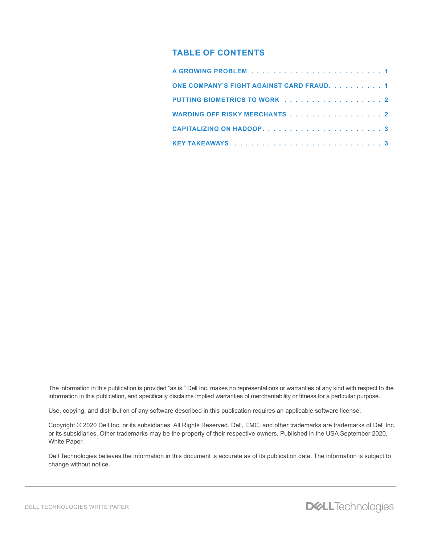## **TABLE OF CONTENTS**

| ONE COMPANY'S FIGHT AGAINST CARD FRAUD. 1 |  |
|-------------------------------------------|--|
| PUTTING BIOMETRICS TO WORK 2              |  |
| WARDING OFF RISKY MERCHANTS 2             |  |
|                                           |  |
|                                           |  |

The information in this publication is provided "as is." Dell Inc. makes no representations or warranties of any kind with respect to the information in this publication, and specifically disclaims implied warranties of merchantability or fitness for a particular purpose.

Use, copying, and distribution of any software described in this publication requires an applicable software license.

Copyright © 2020 Dell Inc. or its subsidiaries. All Rights Reserved. Dell, EMC, and other trademarks are trademarks of Dell Inc. or its subsidiaries. Other trademarks may be the property of their respective owners. Published in the USA September 2020, White Paper.

Dell Technologies believes the information in this document is accurate as of its publication date. The information is subject to change without notice.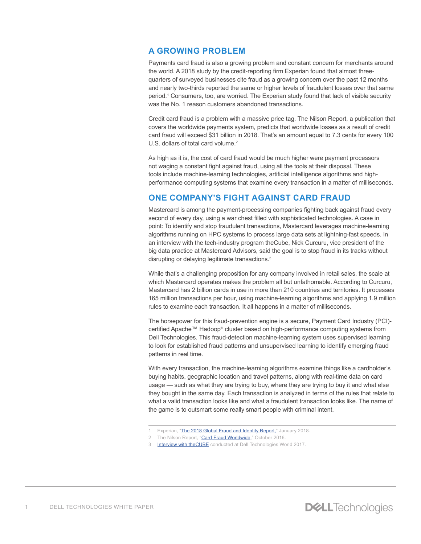#### **A GROWING PROBLEM**

Payments card fraud is also a growing problem and constant concern for merchants around the world. A 2018 study by the credit-reporting firm Experian found that almost threequarters of surveyed businesses cite fraud as a growing concern over the past 12 months and nearly two-thirds reported the same or higher levels of fraudulent losses over that same period.<sup>1</sup> Consumers, too, are worried. The Experian study found that lack of visible security was the No. 1 reason customers abandoned transactions.

Credit card fraud is a problem with a massive price tag. The Nilson Report, a publication that covers the worldwide payments system, predicts that worldwide losses as a result of credit card fraud will exceed \$31 billion in 2018. That's an amount equal to 7.3 cents for every 100 U.S. dollars of total card volume.<sup>2</sup>

As high as it is, the cost of card fraud would be much higher were payment processors not waging a constant fight against fraud, using all the tools at their disposal. These tools include machine-learning technologies, artificial intelligence algorithms and highperformance computing systems that examine every transaction in a matter of milliseconds.

#### **ONE COMPANY'S FIGHT AGAINST CARD FRAUD**

Mastercard is among the payment-processing companies fighting back against fraud every second of every day, using a war chest filled with sophisticated technologies. A case in point: To identify and stop fraudulent transactions, Mastercard leverages machine-learning algorithms running on HPC systems to process large data sets at lightning-fast speeds. In an interview with the tech-industry program theCube, Nick Curcuru, vice president of the big data practice at Mastercard Advisors, said the goal is to stop fraud in its tracks without disrupting or delaying legitimate transactions.<sup>3</sup>

While that's a challenging proposition for any company involved in retail sales, the scale at which Mastercard operates makes the problem all but unfathomable. According to Curcuru, Mastercard has 2 billion cards in use in more than 210 countries and territories. It processes 165 million transactions per hour, using machine-learning algorithms and applying 1.9 million rules to examine each transaction. It all happens in a matter of milliseconds.

The horsepower for this fraud-prevention engine is a secure, Payment Card Industry (PCI) certified Apache™ Hadoop® cluster based on high-performance computing systems from Dell Technologies. This fraud-detection machine-learning system uses supervised learning to look for established fraud patterns and unsupervised learning to identify emerging fraud patterns in real time.

With every transaction, the machine-learning algorithms examine things like a cardholder's buying habits, geographic location and travel patterns, along with real-time data on card usage — such as what they are trying to buy, where they are trying to buy it and what else they bought in the same day. Each transaction is analyzed in terms of the rules that relate to what a valid transaction looks like and what a fraudulent transaction looks like. The name of the game is to outsmart some really smart people with criminal intent.

- 1 Experian, "[The 2018 Global Fraud and Identity Report,"](https://www.experian.com/assets/decision-analytics/reports/global-fraud-report-2018.pdf) January 2018.
- 2 The Nilson Report, "[Card Fraud Worldwide](https://www.nilsonreport.com/upload/content_promo/The_Nilson_Report_10-17-2016.pdf)," October 2016.
- 3 **[Interview with theCUBE](https://siliconangle.com/blog/2017/07/10/mastercard-dell-emc-fight-cyberfraud-machine-learning-dellemcworld/)** conducted at Dell Technologies World 2017.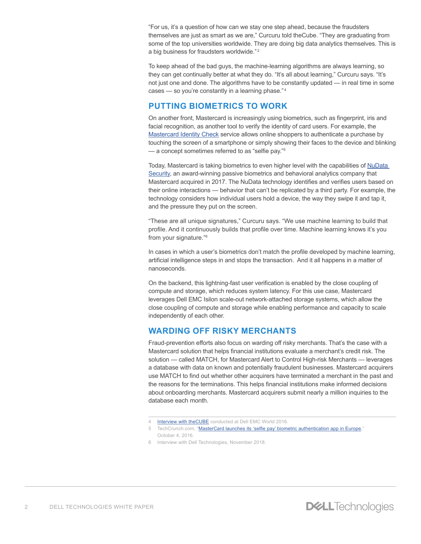"For us, it's a question of how can we stay one step ahead, because the fraudsters themselves are just as smart as we are," Curcuru told theCube. "They are graduating from some of the top universities worldwide. They are doing big data analytics themselves. This is a big business for fraudsters worldwide."<sup>2</sup>

To keep ahead of the bad guys, the machine-learning algorithms are always learning, so they can get continually better at what they do. "It's all about learning," Curcuru says. "It's not just one and done. The algorithms have to be constantly updated — in real time in some cases — so you're constantly in a learning phase." <sup>4</sup>

## **PUTTING BIOMETRICS TO WORK**

On another front, Mastercard is increasingly using biometrics, such as fingerprint, iris and facial recognition, as another tool to verify the identity of card users. For example, the [Mastercard Identity Check](https://newsroom.mastercard.com/videos/mastercard-identity-check-facial-recognition-biometrics/) service allows online shoppers to authenticate a purchase by touching the screen of a smartphone or simply showing their faces to the device and blinking — a concept sometimes referred to as "selfie pay."<sup>5</sup>

Today, Mastercard is taking biometrics to even higher level with the capabilities of [NuData](https://nudatasecurity.com/)  [Security](https://nudatasecurity.com/), an award-winning passive biometrics and behavioral analytics company that Mastercard acquired in 2017. The NuData technology identifies and verifies users based on their online interactions — behavior that can't be replicated by a third party. For example, the technology considers how individual users hold a device, the way they swipe it and tap it, and the pressure they put on the screen.

"These are all unique signatures," Curcuru says. "We use machine learning to build that profile. And it continuously builds that profile over time. Machine learning knows it's you from your signature."<sup>6</sup>

In cases in which a user's biometrics don't match the profile developed by machine learning, artificial intelligence steps in and stops the transaction. And it all happens in a matter of nanoseconds.

On the backend, this lightning-fast user verification is enabled by the close coupling of compute and storage, which reduces system latency. For this use case, Mastercard leverages Dell EMC Isilon scale-out network-attached storage systems, which allow the close coupling of compute and storage while enabling performance and capacity to scale independently of each other.

# **WARDING OFF RISKY MERCHANTS**

Fraud-prevention efforts also focus on warding off risky merchants. That's the case with a Mastercard solution that helps financial institutions evaluate a merchant's credit risk. The solution — called MATCH, for Mastercard Alert to Control High-risk Merchants — leverages a database with data on known and potentially fraudulent businesses. Mastercard acquirers use MATCH to find out whether other acquirers have terminated a merchant in the past and the reasons for the terminations. This helps financial institutions make informed decisions about onboarding merchants. Mastercard acquirers submit nearly a million inquiries to the database each month.

<sup>4</sup> **[Interview with theCUBE](https://www.youtube.com/watch?v=uGoQ_6-E_sQ)** conducted at Dell EMC World 2016.

<sup>5</sup> TechCrunch.com, "[MasterCard launches its 'selfie pay' biometric authentication app in Europe](https://techcrunch.com/2016/10/04/mastercard-launches-its-selfie-pay-biometric-authentication-app-in-europe/)," October 4, 2016.

<sup>6</sup> Interview with Dell Technologies, November 2018.